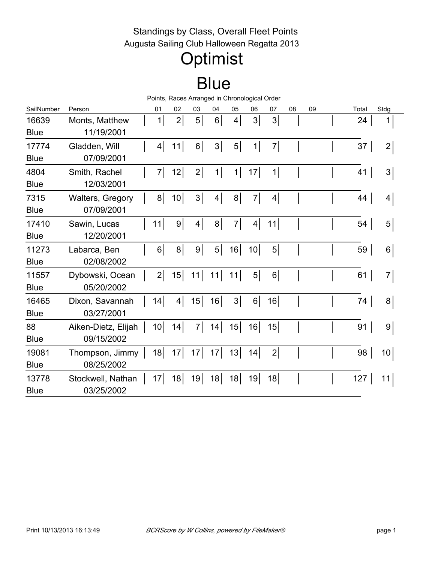### Standings by Class, Overall Fleet Points Augusta Sailing Club Halloween Regatta 2013

## **Optimist**

## **Blue**

|             |                     |                 | Points, Races Arranged in Chronological Order |                |                 |                |                |                 |    |    |       |                |  |
|-------------|---------------------|-----------------|-----------------------------------------------|----------------|-----------------|----------------|----------------|-----------------|----|----|-------|----------------|--|
| SailNumber  | Person              | 01              | 02                                            | 03             | 04              | 05             | 06             | 07              | 08 | 09 | Total | Stdg           |  |
| 16639       | Monts, Matthew      | 1               | $\overline{2}$                                | 5 <sup>1</sup> | $6 \mid$        | $4\vert$       | $3\vert$       | 3 <sup>1</sup>  |    |    | 24    | 1              |  |
| <b>Blue</b> | 11/19/2001          |                 |                                               |                |                 |                |                |                 |    |    |       |                |  |
| 17774       | Gladden, Will       | 4               | 11                                            | 6 <sup>1</sup> | 3 <sup>1</sup>  | $5\vert$       | 1              | $\overline{7}$  |    |    | 37    | 2              |  |
| <b>Blue</b> | 07/09/2001          |                 |                                               |                |                 |                |                |                 |    |    |       |                |  |
| 4804        | Smith, Rachel       | 7               | 12                                            | 2              | 1               | 1              | 17             | 1               |    |    | 41    | 3              |  |
| <b>Blue</b> | 12/03/2001          |                 |                                               |                |                 |                |                |                 |    |    |       |                |  |
| 7315        | Walters, Gregory    | 8 <sup>1</sup>  | 10 <sup>1</sup>                               | 3              | $\vert 4 \vert$ | 8 <sup>1</sup> | $\overline{7}$ | $\vert 4 \vert$ |    |    | 44    | 4              |  |
| <b>Blue</b> | 07/09/2001          |                 |                                               |                |                 |                |                |                 |    |    |       |                |  |
| 17410       | Sawin, Lucas        | 11              | 9 <sup>1</sup>                                | 4              | 8 <sup>1</sup>  | $\overline{7}$ | 4              | 11              |    |    | 54    | 5              |  |
| <b>Blue</b> | 12/20/2001          |                 |                                               |                |                 |                |                |                 |    |    |       |                |  |
| 11273       | Labarca, Ben        | 6 <sup>1</sup>  | 8 <sup>1</sup>                                | 9              | $5\vert$        | 16             | 10             | 5 <sup>1</sup>  |    |    | 59    | 6              |  |
| <b>Blue</b> | 02/08/2002          |                 |                                               |                |                 |                |                |                 |    |    |       |                |  |
| 11557       | Dybowski, Ocean     | $\overline{2}$  | 15                                            | 11             | 11              | 11             | $5\vert$       | 6 <sup>1</sup>  |    |    | 61    | 7              |  |
| <b>Blue</b> | 05/20/2002          |                 |                                               |                |                 |                |                |                 |    |    |       |                |  |
| 16465       | Dixon, Savannah     | 14              | 4                                             | 15             | 16              | $3\vert$       | 6              | 16              |    |    | 74    | 8              |  |
| <b>Blue</b> | 03/27/2001          |                 |                                               |                |                 |                |                |                 |    |    |       |                |  |
| 88          | Aiken-Dietz, Elijah | 10 <sup>1</sup> | 14                                            | 7              | 14              | 15             | 16             | 15              |    |    | 91    | 9 <sup>1</sup> |  |
| <b>Blue</b> | 09/15/2002          |                 |                                               |                |                 |                |                |                 |    |    |       |                |  |
| 19081       | Thompson, Jimmy     | 18              | 17                                            | 17             | 17              | 13             | 14             | 2               |    |    | 98    | 10             |  |
| <b>Blue</b> | 08/25/2002          |                 |                                               |                |                 |                |                |                 |    |    |       |                |  |
| 13778       | Stockwell, Nathan   | 17              | 18                                            | 19             | 18              | 18             | 19             | 18              |    |    | 127   | 11             |  |
| <b>Blue</b> | 03/25/2002          |                 |                                               |                |                 |                |                |                 |    |    |       |                |  |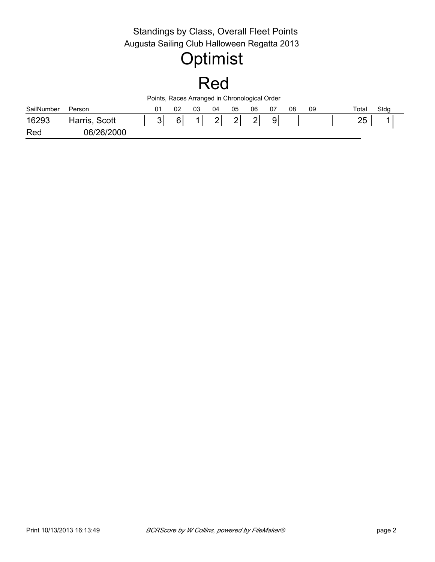#### Standings by Class, Overall Fleet Points SailNumber Person 01 02 03 04 05 06 07 08 Total Points, Races Arranged in Chronological Order Red Total Stdg Augusta Sailing Club Halloween Regatta 2013 **Optimist** 16293 Harris, Scott | 3 6 1 2 2 2 9 1 Red 1 06/26/2000